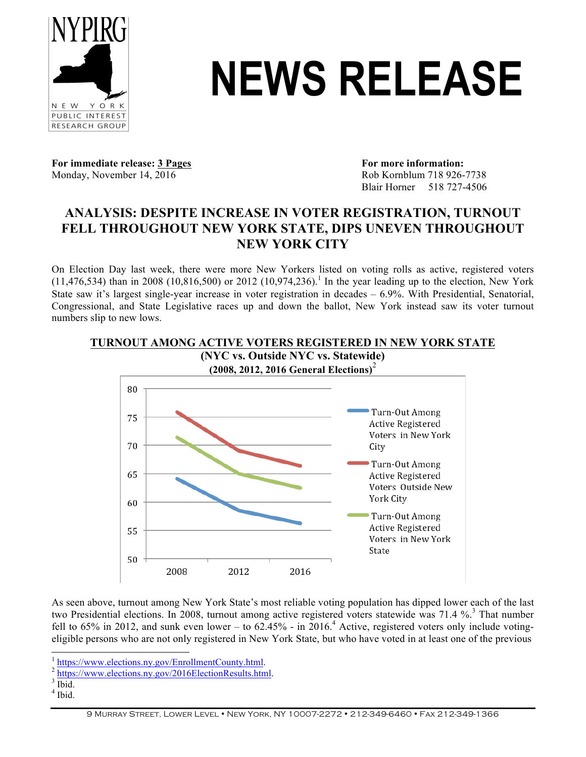

# NEWS RELEASE

**For immediate release: 3 Pages For more information:** Monday, November 14, 2016 Rob Kornblum 718 926-7738

Blair Horner 518 727-4506

## **ANALYSIS: DESPITE INCREASE IN VOTER REGISTRATION, TURNOUT FELL THROUGHOUT NEW YORK STATE, DIPS UNEVEN THROUGHOUT NEW YORK CITY**

On Election Day last week, there were more New Yorkers listed on voting rolls as active, registered voters  $(11,476,534)$  than in 2008  $(10,816,500)$  or 2012  $(10,974,236)$ .<sup>1</sup> In the year leading up to the election, New York State saw it's largest single-year increase in voter registration in decades – 6.9%. With Presidential, Senatorial, Congressional, and State Legislative races up and down the ballot, New York instead saw its voter turnout numbers slip to new lows.



As seen above, turnout among New York State's most reliable voting population has dipped lower each of the last two Presidential elections. In 2008, turnout among active registered voters statewide was 71.4 %.<sup>3</sup> That number fell to 65% in 2012, and sunk even lower – to  $62.45\%$  - in  $2016.4$  Active, registered voters only include votingeligible persons who are not only registered in New York State, but who have voted in at least one of the previous

- 
- $<sup>4</sup>$  Ibid.</sup>

 $\frac{1}{2} \frac{\text{https://www.elections.ny.gov/EnrollmentCountry.html}}{\text{https://www.elections.ny.gov/2016ElectionResults.html}}$ .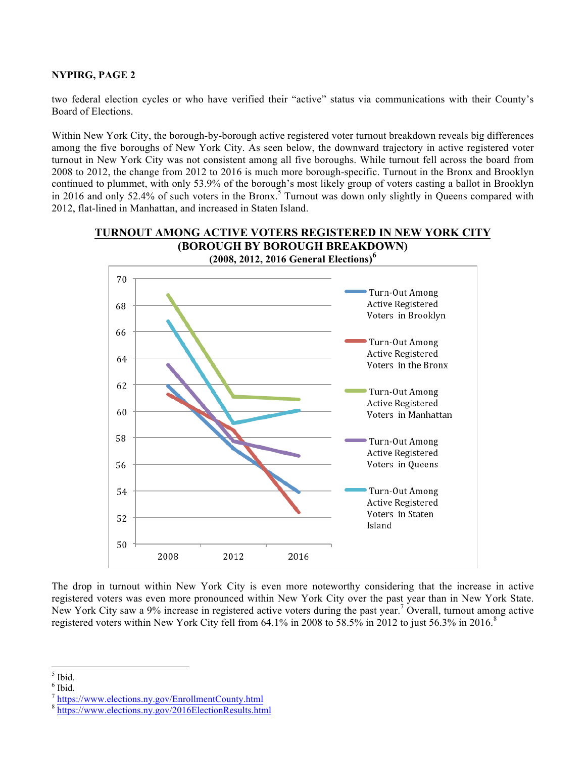#### **NYPIRG, PAGE 2**

two federal election cycles or who have verified their "active" status via communications with their County's Board of Elections.

Within New York City, the borough-by-borough active registered voter turnout breakdown reveals big differences among the five boroughs of New York City. As seen below, the downward trajectory in active registered voter turnout in New York City was not consistent among all five boroughs. While turnout fell across the board from 2008 to 2012, the change from 2012 to 2016 is much more borough-specific. Turnout in the Bronx and Brooklyn continued to plummet, with only 53.9% of the borough's most likely group of voters casting a ballot in Brooklyn in 2016 and only 52.4% of such voters in the Bronx.<sup>5</sup> Turnout was down only slightly in Queens compared with 2012, flat-lined in Manhattan, and increased in Staten Island.



The drop in turnout within New York City is even more noteworthy considering that the increase in active registered voters was even more pronounced within New York City over the past year than in New York State. New York City saw a 9% increase in registered active voters during the past year.<sup>7</sup> Overall, turnout among active registered voters within New York City fell from 64.1% in 2008 to 58.5% in 2012 to just 56.3% in 2016.<sup>8</sup>

 $<sup>5</sup>$  Ibid.</sup>

 $6$  Ibid.

<sup>7</sup> https://www.elections.ny.gov/EnrollmentCounty.html

https://www.elections.ny.gov/2016ElectionResults.html